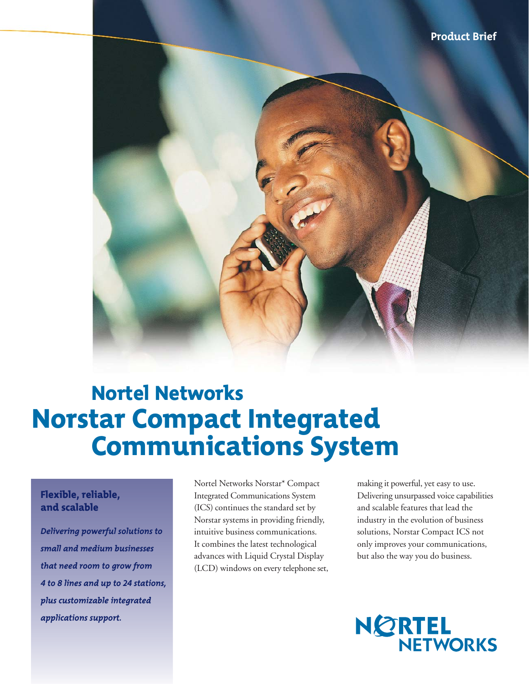

# Nortel Networks Norstar Compact Integrated Communications System

## Flexible, reliable, and scalable

*Delivering powerful solutions to small and medium businesses that need room to grow from 4 to 8 lines and up to 24 stations, plus customizable integrated applications support.* 

Nortel Networks Norstar\* Compact Integrated Communications System (ICS) continues the standard set by Norstar systems in providing friendly, intuitive business communications. It combines the latest technological advances with Liquid Crystal Display (LCD) windows on every telephone set,

making it powerful, yet easy to use. Delivering unsurpassed voice capabilities and scalable features that lead the industry in the evolution of business solutions, Norstar Compact ICS not only improves your communications, but also the way you do business.

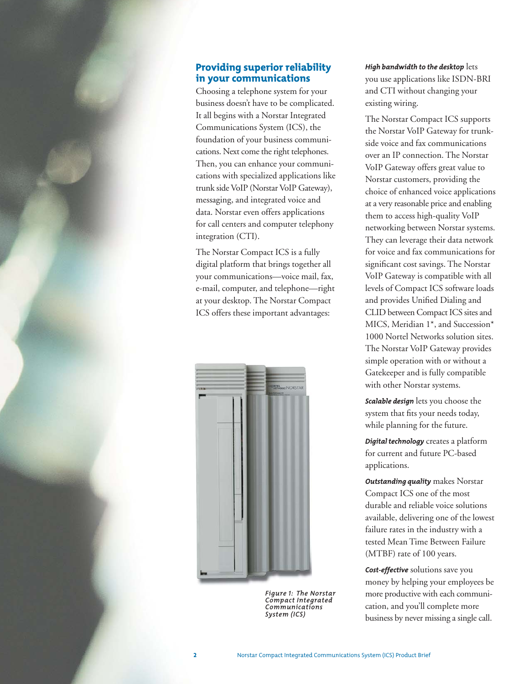### Providing superior reliability in your communications

Choosing a telephone system for your business doesn't have to be complicated. It all begins with a Norstar Integrated Communications System (ICS), the foundation of your business communications. Next come the right telephones. Then, you can enhance your communications with specialized applications like trunk side VoIP (Norstar VoIP Gateway), messaging, and integrated voice and data. Norstar even offers applications for call centers and computer telephony integration (CTI).

The Norstar Compact ICS is a fully digital platform that brings together all your communications—voice mail, fax, e-mail, computer, and telephone—right at your desktop. The Norstar Compact ICS offers these important advantages:



*Figure 1: The Norstar Compact Integrated Communications System (ICS)*

*High bandwidth to the desktop* lets you use applications like ISDN-BRI and CTI without changing your existing wiring.

The Norstar Compact ICS supports the Norstar VoIP Gateway for trunkside voice and fax communications over an IP connection. The Norstar VoIP Gateway offers great value to Norstar customers, providing the choice of enhanced voice applications at a very reasonable price and enabling them to access high-quality VoIP networking between Norstar systems. They can leverage their data network for voice and fax communications for significant cost savings. The Norstar VoIP Gateway is compatible with all levels of Compact ICS software loads and provides Unified Dialing and CLID between Compact ICS sites and MICS, Meridian 1\*, and Succession\* 1000 Nortel Networks solution sites. The Norstar VoIP Gateway provides simple operation with or without a Gatekeeper and is fully compatible with other Norstar systems.

*Scalable design* lets you choose the system that fits your needs today, while planning for the future.

*Digital technology* creates a platform for current and future PC-based applications.

*Outstanding quality* makes Norstar Compact ICS one of the most durable and reliable voice solutions available, delivering one of the lowest failure rates in the industry with a tested Mean Time Between Failure (MTBF) rate of 100 years.

*Cost-effective* solutions save you money by helping your employees be more productive with each communication, and you'll complete more business by never missing a single call.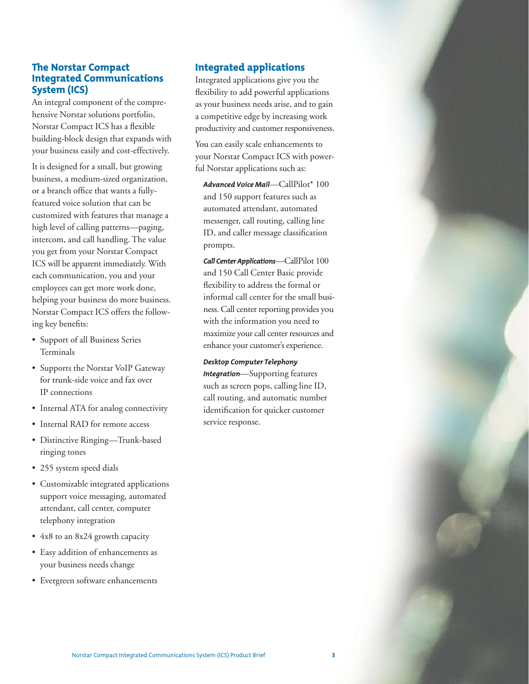## The Norstar Compact Integrated Communications System (ICS)

An integral component of the comprehensive Norstar solutions portfolio, Norstar Compact ICS has a flexible building-block design that expands with your business easily and cost-effectively.

It is designed for a small, but growing business, a medium-sized organization, or a branch office that wants a fullyfeatured voice solution that can be customized with features that manage a high level of calling patterns—paging, intercom, and call handling. The value you get from your Norstar Compact ICS will be apparent immediately. With each communication, you and your employees can get more work done, helping your business do more business. Norstar Compact ICS offers the following key benefits:

- Support of all Business Series Terminals
- Supports the Norstar VoIP Gateway for trunk-side voice and fax over IP connections
- Internal ATA for analog connectivity
- Internal RAD for remote access
- Distinctive Ringing—Trunk-based ringing tones
- 255 system speed dials
- Customizable integrated applications support voice messaging, automated attendant, call center, computer telephony integration
- 4x8 to an 8x24 growth capacity
- Easy addition of enhancements as your business needs change
- Evergreen software enhancements

## Integrated applications

Integrated applications give you the flexibility to add powerful applications as your business needs arise, and to gain a competitive edge by increasing work productivity and customer responsiveness.

You can easily scale enhancements to your Norstar Compact ICS with powerful Norstar applications such as:

*Advanced Voice Mail*—CallPilot\* 100 and 150 support features such as automated attendant, automated messenger, call routing, calling line ID, and caller message classification prompts.

*Call Center Applications*—CallPilot 100 and 150 Call Center Basic provide flexibility to address the formal or informal call center for the small business. Call center reporting provides you with the information you need to maximize your call center resources and enhance your customer's experience.

*Desktop Computer Telephony*

*Integration*—Supporting features such as screen pops, calling line ID, call routing, and automatic number identification for quicker customer service response.